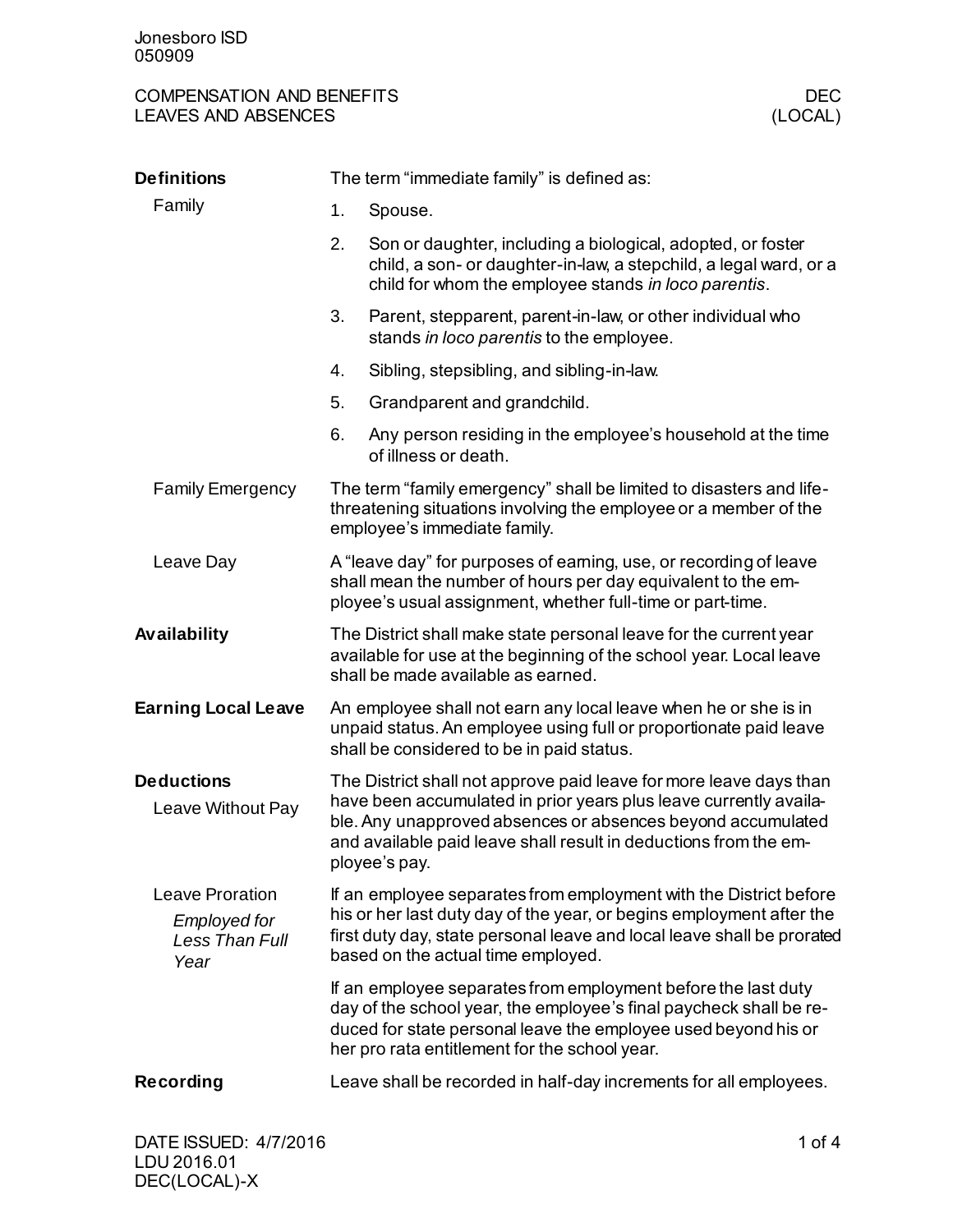## COMPENSATION AND BENEFITS DECOMPENSATION AND BENEFITS DECTRES AND ABSENCES LEAVES AND ABSENCES

| The term "immediate family" is defined as:                                                                                                                                                                                                                                                  |                                                                                                                                                                                                                                                           |  |
|---------------------------------------------------------------------------------------------------------------------------------------------------------------------------------------------------------------------------------------------------------------------------------------------|-----------------------------------------------------------------------------------------------------------------------------------------------------------------------------------------------------------------------------------------------------------|--|
| 1.                                                                                                                                                                                                                                                                                          | Spouse.                                                                                                                                                                                                                                                   |  |
| 2.<br>Son or daughter, including a biological, adopted, or foster<br>child, a son- or daughter-in-law, a stepchild, a legal ward, or a<br>child for whom the employee stands in loco parentis.                                                                                              |                                                                                                                                                                                                                                                           |  |
| 3.                                                                                                                                                                                                                                                                                          | Parent, stepparent, parent-in-law, or other individual who<br>stands in loco parentis to the employee.                                                                                                                                                    |  |
| 4.                                                                                                                                                                                                                                                                                          | Sibling, stepsibling, and sibling-in-law.                                                                                                                                                                                                                 |  |
| 5.                                                                                                                                                                                                                                                                                          | Grandparent and grandchild.                                                                                                                                                                                                                               |  |
| 6.                                                                                                                                                                                                                                                                                          | Any person residing in the employee's household at the time<br>of illness or death.                                                                                                                                                                       |  |
| The term "family emergency" shall be limited to disasters and life-<br>threatening situations involving the employee or a member of the<br>employee's immediate family.                                                                                                                     |                                                                                                                                                                                                                                                           |  |
| A "leave day" for purposes of earning, use, or recording of leave<br>shall mean the number of hours per day equivalent to the em-<br>ployee's usual assignment, whether full-time or part-time.                                                                                             |                                                                                                                                                                                                                                                           |  |
| The District shall make state personal leave for the current year<br>available for use at the beginning of the school year. Local leave<br>shall be made available as earned.                                                                                                               |                                                                                                                                                                                                                                                           |  |
| An employee shall not earn any local leave when he or she is in<br>unpaid status. An employee using full or proportionate paid leave<br>shall be considered to be in paid status.                                                                                                           |                                                                                                                                                                                                                                                           |  |
| The District shall not approve paid leave for more leave days than<br>have been accumulated in prior years plus leave currently availa-<br>ble. Any unapproved absences or absences beyond accumulated<br>and available paid leave shall result in deductions from the em-<br>ployee's pay. |                                                                                                                                                                                                                                                           |  |
|                                                                                                                                                                                                                                                                                             | If an employee separates from employment with the District before<br>his or her last duty day of the year, or begins employment after the<br>first duty day, state personal leave and local leave shall be prorated<br>based on the actual time employed. |  |
|                                                                                                                                                                                                                                                                                             | If an employee separates from employment before the last duty<br>day of the school year, the employee's final paycheck shall be re-<br>duced for state personal leave the employee used beyond his or<br>her pro rata entitlement for the school year.    |  |
|                                                                                                                                                                                                                                                                                             | Leave shall be recorded in half-day increments for all employees.                                                                                                                                                                                         |  |
|                                                                                                                                                                                                                                                                                             |                                                                                                                                                                                                                                                           |  |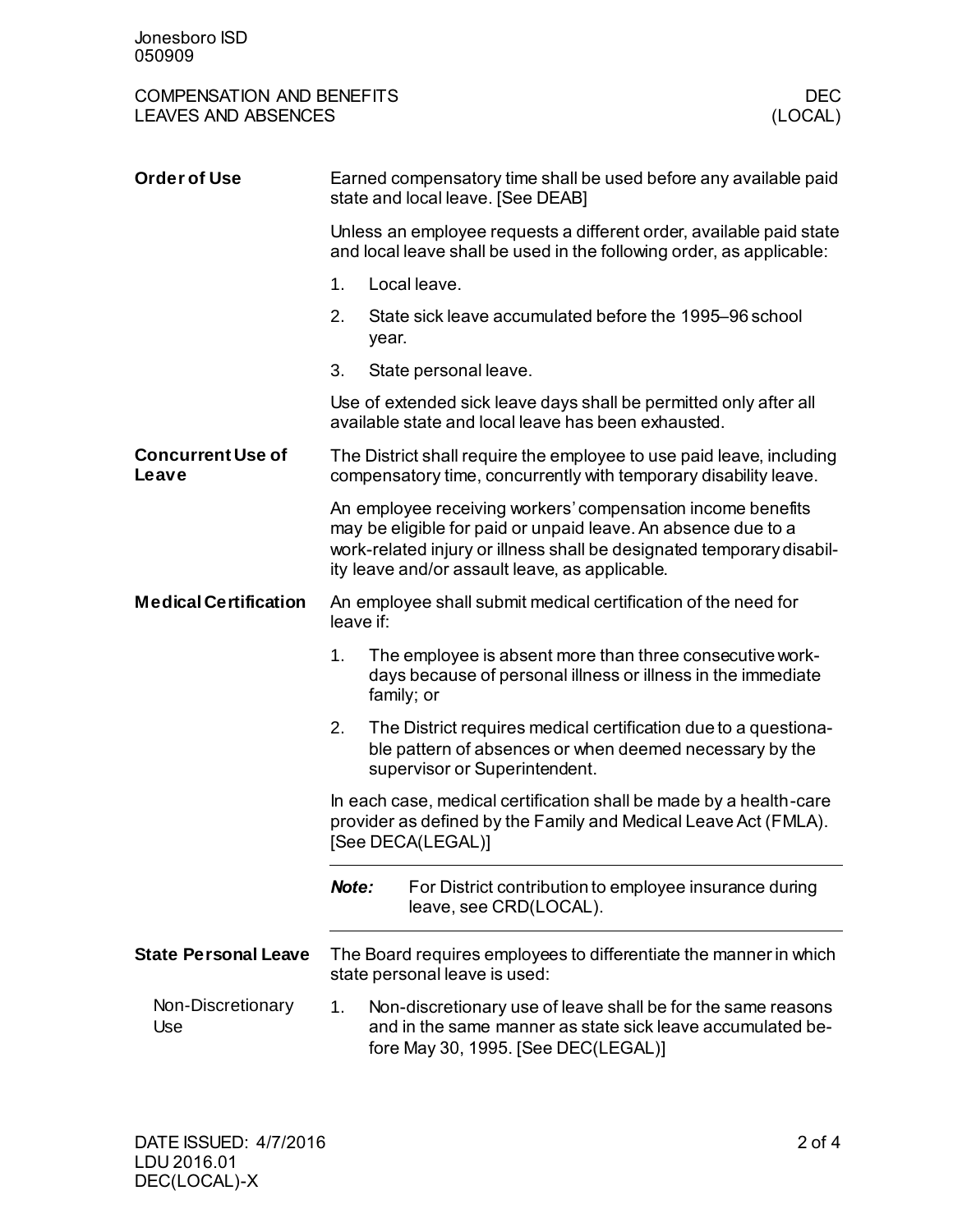| <b>COMPENSATION AND BENEFITS</b><br><b>LEAVES AND ABSENCES</b> |                                                                                                                                                                                                                                                         | <b>DEC</b><br>(LOCAL)                                                                                                                                             |  |  |
|----------------------------------------------------------------|---------------------------------------------------------------------------------------------------------------------------------------------------------------------------------------------------------------------------------------------------------|-------------------------------------------------------------------------------------------------------------------------------------------------------------------|--|--|
| <b>Order of Use</b>                                            |                                                                                                                                                                                                                                                         | Earned compensatory time shall be used before any available paid<br>state and local leave. [See DEAB]                                                             |  |  |
|                                                                | Unless an employee requests a different order, available paid state<br>and local leave shall be used in the following order, as applicable:                                                                                                             |                                                                                                                                                                   |  |  |
|                                                                | 1.                                                                                                                                                                                                                                                      | Local leave.                                                                                                                                                      |  |  |
|                                                                | 2.<br>year.                                                                                                                                                                                                                                             | State sick leave accumulated before the 1995–96 school                                                                                                            |  |  |
|                                                                | 3.                                                                                                                                                                                                                                                      | State personal leave.                                                                                                                                             |  |  |
|                                                                | Use of extended sick leave days shall be permitted only after all<br>available state and local leave has been exhausted.                                                                                                                                |                                                                                                                                                                   |  |  |
| <b>Concurrent Use of</b><br>Leave                              | The District shall require the employee to use paid leave, including<br>compensatory time, concurrently with temporary disability leave.                                                                                                                |                                                                                                                                                                   |  |  |
|                                                                | An employee receiving workers' compensation income benefits<br>may be eligible for paid or unpaid leave. An absence due to a<br>work-related injury or illness shall be designated temporary disabil-<br>ity leave and/or assault leave, as applicable. |                                                                                                                                                                   |  |  |
| <b>Medical Certification</b>                                   | An employee shall submit medical certification of the need for<br>leave if:                                                                                                                                                                             |                                                                                                                                                                   |  |  |
|                                                                | The employee is absent more than three consecutive work-<br>1.<br>days because of personal illness or illness in the immediate<br>family; or                                                                                                            |                                                                                                                                                                   |  |  |
|                                                                | 2.                                                                                                                                                                                                                                                      | The District requires medical certification due to a questiona-<br>ble pattern of absences or when deemed necessary by the<br>supervisor or Superintendent.       |  |  |
|                                                                | In each case, medical certification shall be made by a health-care<br>provider as defined by the Family and Medical Leave Act (FMLA).<br>[See DECA(LEGAL)]                                                                                              |                                                                                                                                                                   |  |  |
|                                                                | Note:                                                                                                                                                                                                                                                   | For District contribution to employee insurance during<br>leave, see CRD(LOCAL).                                                                                  |  |  |
| <b>State Personal Leave</b>                                    | The Board requires employees to differentiate the manner in which<br>state personal leave is used:                                                                                                                                                      |                                                                                                                                                                   |  |  |
| Non-Discretionary<br>Use                                       | 1.                                                                                                                                                                                                                                                      | Non-discretionary use of leave shall be for the same reasons<br>and in the same manner as state sick leave accumulated be-<br>fore May 30, 1995. [See DEC(LEGAL)] |  |  |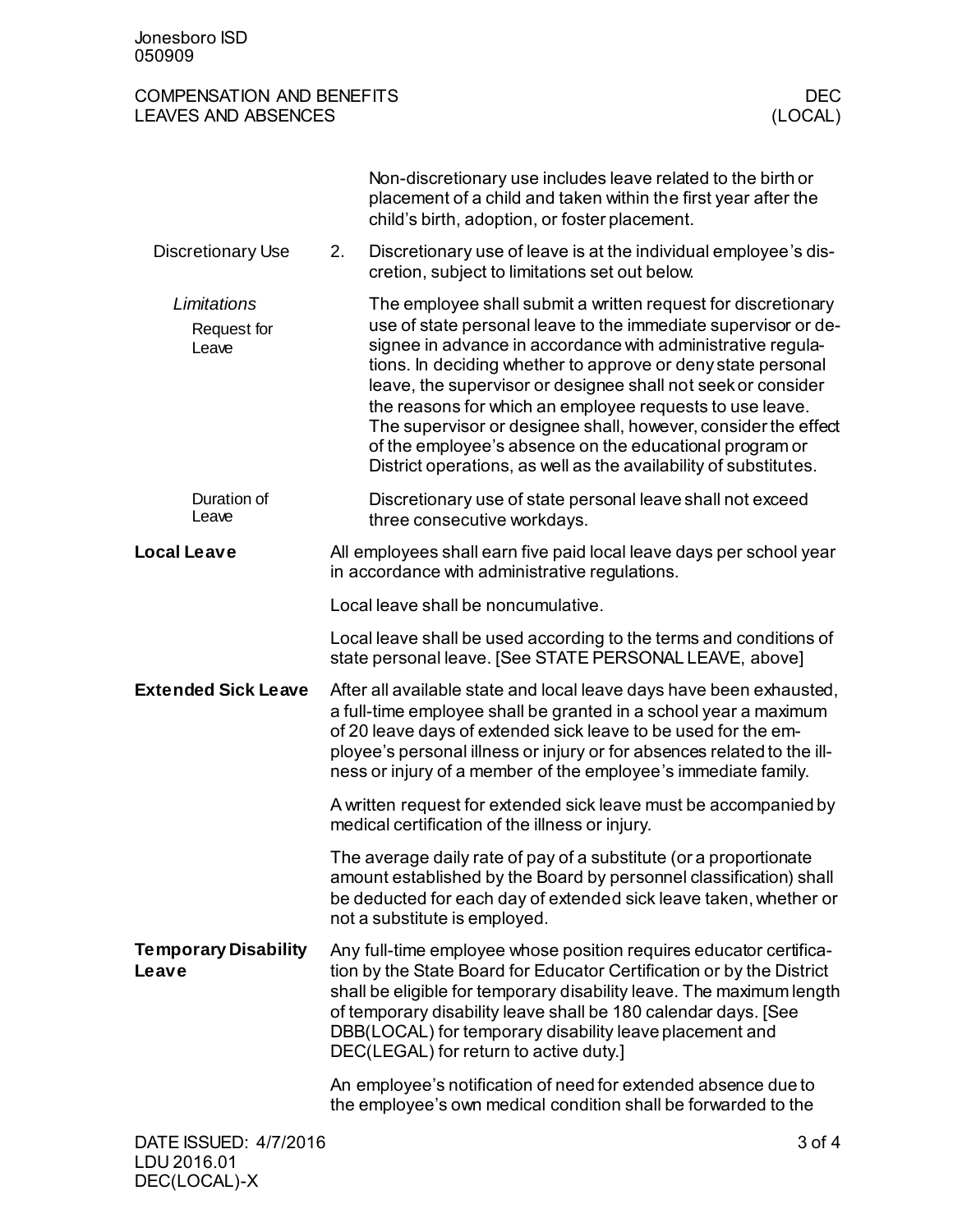| <b>COMPENSATION AND BENEFITS</b><br><b>LEAVES AND ABSENCES</b> |                                                                                                                                                                                                                                                                                                                                                        |                                                                                                                                                                                                                                                                                                                                                                                                                                                                                                                                                                                             | <b>DEC</b><br>(LOCAL) |  |
|----------------------------------------------------------------|--------------------------------------------------------------------------------------------------------------------------------------------------------------------------------------------------------------------------------------------------------------------------------------------------------------------------------------------------------|---------------------------------------------------------------------------------------------------------------------------------------------------------------------------------------------------------------------------------------------------------------------------------------------------------------------------------------------------------------------------------------------------------------------------------------------------------------------------------------------------------------------------------------------------------------------------------------------|-----------------------|--|
|                                                                |                                                                                                                                                                                                                                                                                                                                                        | Non-discretionary use includes leave related to the birth or<br>placement of a child and taken within the first year after the<br>child's birth, adoption, or foster placement.                                                                                                                                                                                                                                                                                                                                                                                                             |                       |  |
| <b>Discretionary Use</b>                                       | 2.                                                                                                                                                                                                                                                                                                                                                     | Discretionary use of leave is at the individual employee's dis-<br>cretion, subject to limitations set out below.                                                                                                                                                                                                                                                                                                                                                                                                                                                                           |                       |  |
| Limitations<br>Request for<br>Leave                            |                                                                                                                                                                                                                                                                                                                                                        | The employee shall submit a written request for discretionary<br>use of state personal leave to the immediate supervisor or de-<br>signee in advance in accordance with administrative regula-<br>tions. In deciding whether to approve or deny state personal<br>leave, the supervisor or designee shall not seek or consider<br>the reasons for which an employee requests to use leave.<br>The supervisor or designee shall, however, consider the effect<br>of the employee's absence on the educational program or<br>District operations, as well as the availability of substitutes. |                       |  |
| Duration of<br>Leave                                           |                                                                                                                                                                                                                                                                                                                                                        | Discretionary use of state personal leave shall not exceed<br>three consecutive workdays.                                                                                                                                                                                                                                                                                                                                                                                                                                                                                                   |                       |  |
| <b>Local Leave</b>                                             |                                                                                                                                                                                                                                                                                                                                                        | All employees shall earn five paid local leave days per school year<br>in accordance with administrative regulations.                                                                                                                                                                                                                                                                                                                                                                                                                                                                       |                       |  |
|                                                                | Local leave shall be noncumulative.                                                                                                                                                                                                                                                                                                                    |                                                                                                                                                                                                                                                                                                                                                                                                                                                                                                                                                                                             |                       |  |
|                                                                | Local leave shall be used according to the terms and conditions of<br>state personal leave. [See STATE PERSONAL LEAVE, above]                                                                                                                                                                                                                          |                                                                                                                                                                                                                                                                                                                                                                                                                                                                                                                                                                                             |                       |  |
| <b>Extended Sick Leave</b>                                     | After all available state and local leave days have been exhausted,<br>a full-time employee shall be granted in a school year a maximum<br>of 20 leave days of extended sick leave to be used for the em-<br>ployee's personal illness or injury or for absences related to the ill-<br>ness or injury of a member of the employee's immediate family. |                                                                                                                                                                                                                                                                                                                                                                                                                                                                                                                                                                                             |                       |  |
|                                                                | A written request for extended sick leave must be accompanied by<br>medical certification of the illness or injury.                                                                                                                                                                                                                                    |                                                                                                                                                                                                                                                                                                                                                                                                                                                                                                                                                                                             |                       |  |
|                                                                | The average daily rate of pay of a substitute (or a proportionate<br>amount established by the Board by personnel classification) shall<br>be deducted for each day of extended sick leave taken, whether or<br>not a substitute is employed.                                                                                                          |                                                                                                                                                                                                                                                                                                                                                                                                                                                                                                                                                                                             |                       |  |
| <b>Temporary Disability</b><br>Leave                           |                                                                                                                                                                                                                                                                                                                                                        | Any full-time employee whose position requires educator certifica-<br>tion by the State Board for Educator Certification or by the District<br>shall be eligible for temporary disability leave. The maximum length<br>of temporary disability leave shall be 180 calendar days. [See<br>DBB(LOCAL) for temporary disability leave placement and<br>DEC(LEGAL) for return to active duty.]                                                                                                                                                                                                  |                       |  |
|                                                                | An employee's notification of need for extended absence due to<br>the employee's own medical condition shall be forwarded to the                                                                                                                                                                                                                       |                                                                                                                                                                                                                                                                                                                                                                                                                                                                                                                                                                                             |                       |  |
| $3$ of $4$<br>DATE ISSUED: 4/7/2016                            |                                                                                                                                                                                                                                                                                                                                                        |                                                                                                                                                                                                                                                                                                                                                                                                                                                                                                                                                                                             |                       |  |